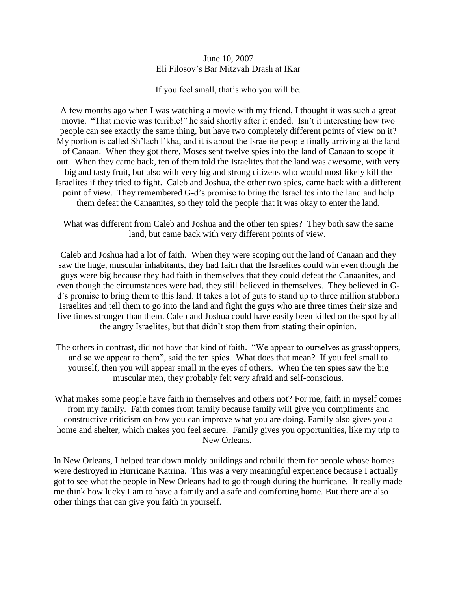## June 10, 2007 Eli Filosov's Bar Mitzvah Drash at IKar

If you feel small, that's who you will be.

A few months ago when I was watching a movie with my friend, I thought it was such a great movie. "That movie was terrible!" he said shortly after it ended. Isn't it interesting how two people can see exactly the same thing, but have two completely different points of view on it? My portion is called Sh'lach l'kha, and it is about the Israelite people finally arriving at the land of Canaan. When they got there, Moses sent twelve spies into the land of Canaan to scope it out. When they came back, ten of them told the Israelites that the land was awesome, with very big and tasty fruit, but also with very big and strong citizens who would most likely kill the Israelites if they tried to fight. Caleb and Joshua, the other two spies, came back with a different point of view. They remembered G-d's promise to bring the Israelites into the land and help them defeat the Canaanites, so they told the people that it was okay to enter the land.

What was different from Caleb and Joshua and the other ten spies? They both saw the same land, but came back with very different points of view.

Caleb and Joshua had a lot of faith. When they were scoping out the land of Canaan and they saw the huge, muscular inhabitants, they had faith that the Israelites could win even though the guys were big because they had faith in themselves that they could defeat the Canaanites, and even though the circumstances were bad, they still believed in themselves. They believed in Gd's promise to bring them to this land. It takes a lot of guts to stand up to three million stubborn Israelites and tell them to go into the land and fight the guys who are three times their size and five times stronger than them. Caleb and Joshua could have easily been killed on the spot by all the angry Israelites, but that didn't stop them from stating their opinion.

- The others in contrast, did not have that kind of faith. "We appear to ourselves as grasshoppers, and so we appear to them", said the ten spies. What does that mean? If you feel small to yourself, then you will appear small in the eyes of others. When the ten spies saw the big muscular men, they probably felt very afraid and self-conscious.
- What makes some people have faith in themselves and others not? For me, faith in myself comes from my family. Faith comes from family because family will give you compliments and constructive criticism on how you can improve what you are doing. Family also gives you a home and shelter, which makes you feel secure. Family gives you opportunities, like my trip to New Orleans.

In New Orleans, I helped tear down moldy buildings and rebuild them for people whose homes were destroyed in Hurricane Katrina. This was a very meaningful experience because I actually got to see what the people in New Orleans had to go through during the hurricane. It really made me think how lucky I am to have a family and a safe and comforting home. But there are also other things that can give you faith in yourself.